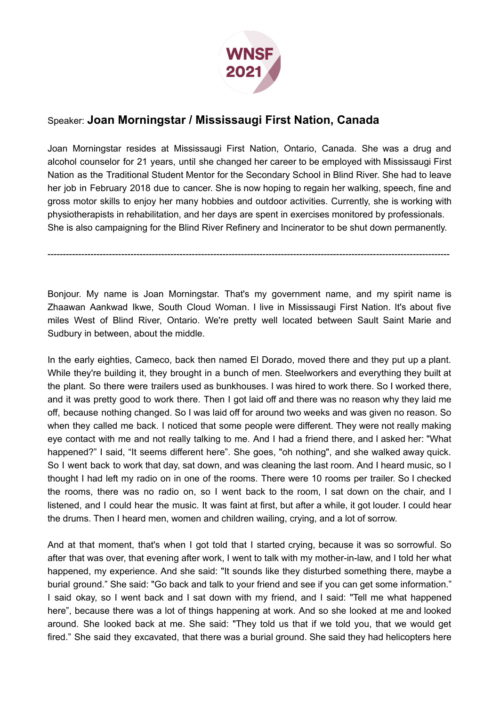

## Speaker: **Joan Morningstar / Mississaugi First Nation, Canada**

Joan Morningstar resides at Mississaugi First Nation, Ontario, Canada. She was a drug and alcohol counselor for 21 years, until she changed her career to be employed with Mississaugi First Nation as the Traditional Student Mentor for the Secondary School in Blind River. She had to leave her job in February 2018 due to cancer. She is now hoping to regain her walking, speech, fine and gross motor skills to enjoy her many hobbies and outdoor activities. Currently, she is working with physiotherapists in rehabilitation, and her days are spent in exercises monitored by professionals. She is also campaigning for the Blind River Refinery and Incinerator to be shut down permanently.

Bonjour. My name is Joan Morningstar. That's my government name, and my spirit name is Zhaawan Aankwad Ikwe, South Cloud Woman. I live in Mississaugi First Nation. It's about five miles West of Blind River, Ontario. We're pretty well located between Sault Saint Marie and Sudbury in between, about the middle.

-----------------------------------------------------------------------------------------------------------------------------------

In the early eighties, Cameco, back then named El Dorado, moved there and they put up a plant. While they're building it, they brought in a bunch of men. Steelworkers and everything they built at the plant. So there were trailers used as bunkhouses. I was hired to work there. So I worked there, and it was pretty good to work there. Then I got laid off and there was no reason why they laid me off, because nothing changed. So I was laid off for around two weeks and was given no reason. So when they called me back. I noticed that some people were different. They were not really making eye contact with me and not really talking to me. And I had a friend there, and I asked her: "What happened?" I said, "It seems different here". She goes, "oh nothing", and she walked away quick. So I went back to work that day, sat down, and was cleaning the last room. And I heard music, so I thought I had left my radio on in one of the rooms. There were 10 rooms per trailer. So I checked the rooms, there was no radio on, so I went back to the room, I sat down on the chair, and I listened, and I could hear the music. It was faint at first, but after a while, it got louder. I could hear the drums. Then I heard men, women and children wailing, crying, and a lot of sorrow.

And at that moment, that's when I got told that I started crying, because it was so sorrowful. So after that was over, that evening after work, I went to talk with my mother-in-law, and I told her what happened, my experience. And she said: "It sounds like they disturbed something there, maybe a burial ground." She said: "Go back and talk to your friend and see if you can get some information." I said okay, so I went back and I sat down with my friend, and I said: "Tell me what happened here", because there was a lot of things happening at work. And so she looked at me and looked around. She looked back at me. She said: "They told us that if we told you, that we would get fired." She said they excavated, that there was a burial ground. She said they had helicopters here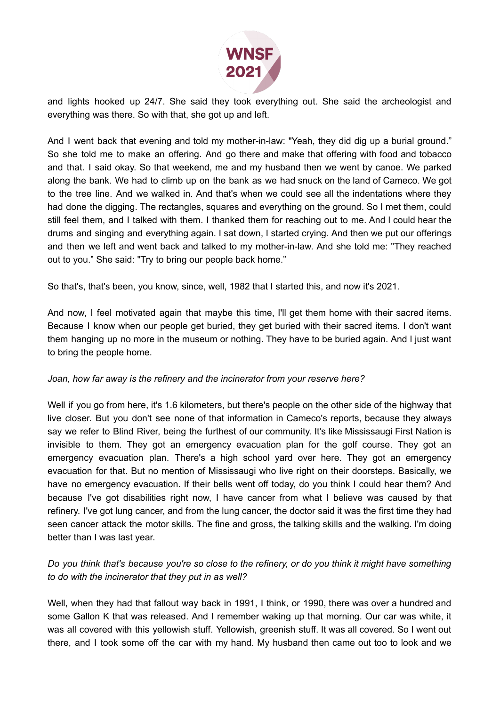

and lights hooked up 24/7. She said they took everything out. She said the archeologist and everything was there. So with that, she got up and left.

And I went back that evening and told my mother-in-law: "Yeah, they did dig up a burial ground." So she told me to make an offering. And go there and make that offering with food and tobacco and that. I said okay. So that weekend, me and my husband then we went by canoe. We parked along the bank. We had to climb up on the bank as we had snuck on the land of Cameco. We got to the tree line. And we walked in. And that's when we could see all the indentations where they had done the digging. The rectangles, squares and everything on the ground. So I met them, could still feel them, and I talked with them. I thanked them for reaching out to me. And I could hear the drums and singing and everything again. I sat down, I started crying. And then we put our offerings and then we left and went back and talked to my mother-in-law. And she told me: "They reached out to you." She said: "Try to bring our people back home."

So that's, that's been, you know, since, well, 1982 that I started this, and now it's 2021.

And now, I feel motivated again that maybe this time, I'll get them home with their sacred items. Because I know when our people get buried, they get buried with their sacred items. I don't want them hanging up no more in the museum or nothing. They have to be buried again. And I just want to bring the people home.

## *Joan, how far away is the refinery and the incinerator from your reserve here?*

Well if you go from here, it's 1.6 kilometers, but there's people on the other side of the highway that live closer. But you don't see none of that information in Cameco's reports, because they always say we refer to Blind River, being the furthest of our community. It's like Mississaugi First Nation is invisible to them. They got an emergency evacuation plan for the golf course. They got an emergency evacuation plan. There's a high school yard over here. They got an emergency evacuation for that. But no mention of Mississaugi who live right on their doorsteps. Basically, we have no emergency evacuation. If their bells went off today, do you think I could hear them? And because I've got disabilities right now, I have cancer from what I believe was caused by that refinery. I've got lung cancer, and from the lung cancer, the doctor said it was the first time they had seen cancer attack the motor skills. The fine and gross, the talking skills and the walking. I'm doing better than I was last year.

## Do you think that's because you're so close to the refinery, or do you think it might have something *to do with the incinerator that they put in as well?*

Well, when they had that fallout way back in 1991, I think, or 1990, there was over a hundred and some Gallon K that was released. And I remember waking up that morning. Our car was white, it was all covered with this yellowish stuff. Yellowish, greenish stuff. It was all covered. So I went out there, and I took some off the car with my hand. My husband then came out too to look and we